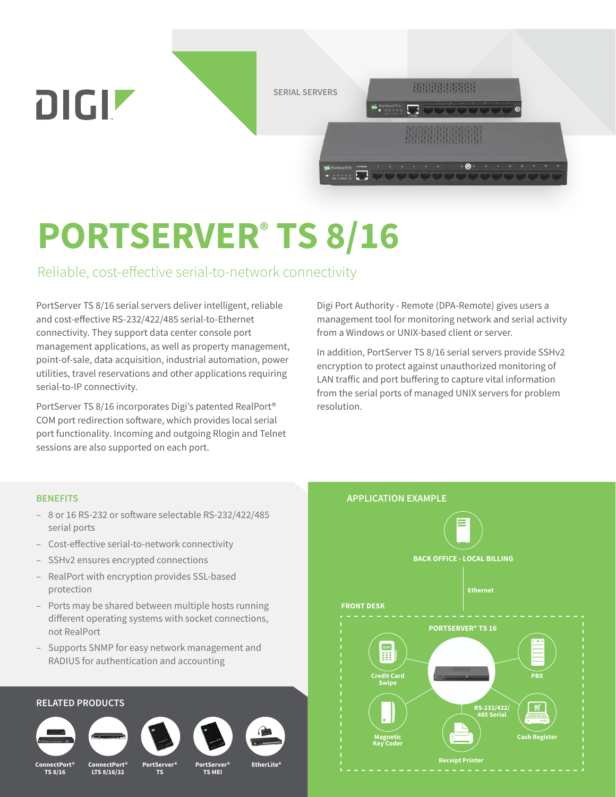

# **PORTSERVER® TS 8/16**

### Reliable, cost-effective serial-to-network connectivity

PortServer TS 8/16 serial servers deliver intelligent, reliable and cost-effective RS-232/422/485 serial-to-Ethernet connectivity. They support data center console port management applications, as well as property management, point-of-sale, data acquisition, industrial automation, power utilities, travel reservations and other applications requiring serial-to-IP connectivity.

PortServer TS 8/16 incorporates Digi's patented RealPort® COM port redirection software, which provides local serial port functionality. Incoming and outgoing Rlogin and Telnet sessions are also supported on each port.

Digi Port Authority - Remote (DPA-Remote) gives users a management tool for monitoring network and serial activity from a Windows or UNIX-based client or server.

In addition, PortServer TS 8/16 serial servers provide SSHv2 encryption to protect against unauthorized monitoring of LAN traffic and port buffering to capture vital information from the serial ports of managed UNIX servers for problem resolution.

#### **BENEFITS**

- 8 or 16 RS-232 or software selectable RS-232/422/485 serial ports
- Cost-effective serial-to-network connectivity
- SSHv2 ensures encrypted connections
- RealPort with encryption provides SSL-based protection
- Ports may be shared between multiple hosts running different operating systems with socket connections, not RealPort
- Supports SNMP for easy network management and RADIUS for authentication and accounting

#### **RELATED PRODUCTS**













**ConnectPort® TS 8/16**

**PortServer® TS**

**ConnectPort® EtherLite® LTS 8/16/32 PortServer® TS MEI**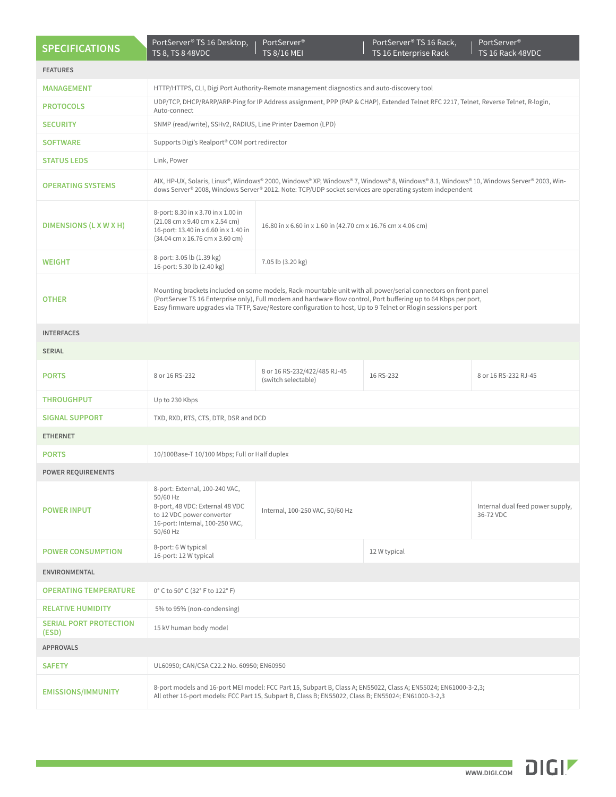| <b>SPECIFICATIONS</b>                  | PortServer® TS 16 Desktop,<br>TS 8, TS 8 48VDC                                                                                                                                                                                                                                                                                                        | PortServer®<br><b>TS 8/16 MEI</b>                            | PortServer® TS 16 Rack,<br>TS 16 Enterprise Rack | PortServer <sup>®</sup><br>TS 16 Rack 48VDC   |
|----------------------------------------|-------------------------------------------------------------------------------------------------------------------------------------------------------------------------------------------------------------------------------------------------------------------------------------------------------------------------------------------------------|--------------------------------------------------------------|--------------------------------------------------|-----------------------------------------------|
| <b>FEATURES</b>                        |                                                                                                                                                                                                                                                                                                                                                       |                                                              |                                                  |                                               |
| <b>MANAGEMENT</b>                      | HTTP/HTTPS, CLI, Digi Port Authority-Remote management diagnostics and auto-discovery tool                                                                                                                                                                                                                                                            |                                                              |                                                  |                                               |
| <b>PROTOCOLS</b>                       | UDP/TCP, DHCP/RARP/ARP-Ping for IP Address assignment, PPP (PAP & CHAP), Extended Telnet RFC 2217, Telnet, Reverse Telnet, R-login,<br>Auto-connect                                                                                                                                                                                                   |                                                              |                                                  |                                               |
| <b>SECURITY</b>                        | SNMP (read/write), SSHv2, RADIUS, Line Printer Daemon (LPD)                                                                                                                                                                                                                                                                                           |                                                              |                                                  |                                               |
| <b>SOFTWARE</b>                        | Supports Digi's Realport® COM port redirector                                                                                                                                                                                                                                                                                                         |                                                              |                                                  |                                               |
| <b>STATUS LEDS</b>                     | Link, Power                                                                                                                                                                                                                                                                                                                                           |                                                              |                                                  |                                               |
| <b>OPERATING SYSTEMS</b>               | AIX, HP-UX, Solaris, Linux®, Windows® 2000, Windows® XP, Windows® 7, Windows® 8, Windows® 8.1, Windows® 10, Windows Server® 2003, Win-<br>dows Server® 2008, Windows Server® 2012. Note: TCP/UDP socket services are operating system independent                                                                                                     |                                                              |                                                  |                                               |
| DIMENSIONS (L X W X H)                 | 8-port: 8.30 in x 3.70 in x 1.00 in<br>(21.08 cm x 9.40 cm x 2.54 cm)<br>16-port: 13.40 in x 6.60 in x 1.40 in<br>(34.04 cm x 16.76 cm x 3.60 cm)                                                                                                                                                                                                     | 16.80 in x 6.60 in x 1.60 in (42.70 cm x 16.76 cm x 4.06 cm) |                                                  |                                               |
| <b>WEIGHT</b>                          | 8-port: 3.05 lb (1.39 kg)<br>16-port: 5.30 lb (2.40 kg)                                                                                                                                                                                                                                                                                               | 7.05 lb (3.20 kg)                                            |                                                  |                                               |
| <b>OTHER</b>                           | Mounting brackets included on some models, Rack-mountable unit with all power/serial connectors on front panel<br>(PortServer TS 16 Enterprise only), Full modem and hardware flow control, Port buffering up to 64 Kbps per port,<br>Easy firmware upgrades via TFTP, Save/Restore configuration to host, Up to 9 Telnet or Rlogin sessions per port |                                                              |                                                  |                                               |
| <b>INTERFACES</b>                      |                                                                                                                                                                                                                                                                                                                                                       |                                                              |                                                  |                                               |
| <b>SERIAL</b>                          |                                                                                                                                                                                                                                                                                                                                                       |                                                              |                                                  |                                               |
| <b>PORTS</b>                           | 8 or 16 RS-232                                                                                                                                                                                                                                                                                                                                        | 8 or 16 RS-232/422/485 RJ-45<br>(switch selectable)          | 16 RS-232                                        | 8 or 16 RS-232 RJ-45                          |
| <b>THROUGHPUT</b>                      | Up to 230 Kbps                                                                                                                                                                                                                                                                                                                                        |                                                              |                                                  |                                               |
| <b>SIGNAL SUPPORT</b>                  | TXD, RXD, RTS, CTS, DTR, DSR and DCD                                                                                                                                                                                                                                                                                                                  |                                                              |                                                  |                                               |
| <b>ETHERNET</b>                        |                                                                                                                                                                                                                                                                                                                                                       |                                                              |                                                  |                                               |
| <b>PORTS</b>                           | 10/100Base-T 10/100 Mbps; Full or Half duplex                                                                                                                                                                                                                                                                                                         |                                                              |                                                  |                                               |
| <b>POWER REQUIREMENTS</b>              |                                                                                                                                                                                                                                                                                                                                                       |                                                              |                                                  |                                               |
| <b>POWER INPUT</b>                     | 8-port: External, 100-240 VAC,<br>50/60 Hz<br>8-port, 48 VDC: External 48 VDC<br>to 12 VDC power converter<br>16-port: Internal, 100-250 VAC,<br>50/60 Hz                                                                                                                                                                                             | Internal, 100-250 VAC, 50/60 Hz                              |                                                  | Internal dual feed power supply,<br>36-72 VDC |
| <b>POWER CONSUMPTION</b>               | 8-port: 6 W typical<br>16-port: 12 W typical                                                                                                                                                                                                                                                                                                          |                                                              | 12 W typical                                     |                                               |
| <b>ENVIRONMENTAL</b>                   |                                                                                                                                                                                                                                                                                                                                                       |                                                              |                                                  |                                               |
| <b>OPERATING TEMPERATURE</b>           | 0° C to 50° C (32° F to 122° F)                                                                                                                                                                                                                                                                                                                       |                                                              |                                                  |                                               |
| <b>RELATIVE HUMIDITY</b>               | 5% to 95% (non-condensing)                                                                                                                                                                                                                                                                                                                            |                                                              |                                                  |                                               |
| <b>SERIAL PORT PROTECTION</b><br>(ESD) | 15 kV human body model                                                                                                                                                                                                                                                                                                                                |                                                              |                                                  |                                               |
| <b>APPROVALS</b>                       |                                                                                                                                                                                                                                                                                                                                                       |                                                              |                                                  |                                               |
| <b>SAFETY</b>                          | UL60950; CAN/CSA C22.2 No. 60950; EN60950                                                                                                                                                                                                                                                                                                             |                                                              |                                                  |                                               |
| <b>EMISSIONS/IMMUNITY</b>              | 8-port models and 16-port MEI model: FCC Part 15, Subpart B, Class A; EN55022, Class A; EN55024; EN61000-3-2,3;<br>All other 16-port models: FCC Part 15, Subpart B, Class B; EN55022, Class B; EN55024; EN61000-3-2,3                                                                                                                                |                                                              |                                                  |                                               |